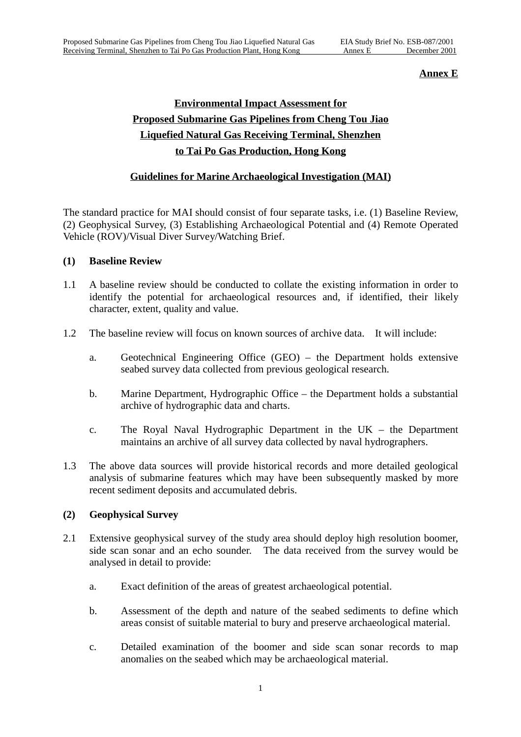#### **Annex E**

# **Environmental Impact Assessment for Proposed Submarine Gas Pipelines from Cheng Tou Jiao Liquefied Natural Gas Receiving Terminal, Shenzhen to Tai Po Gas Production, Hong Kong**

## **Guidelines for Marine Archaeological Investigation (MAI)**

The standard practice for MAI should consist of four separate tasks, i.e. (1) Baseline Review, (2) Geophysical Survey, (3) Establishing Archaeological Potential and (4) Remote Operated Vehicle (ROV)/Visual Diver Survey/Watching Brief.

### **(1) Baseline Review**

- 1.1 A baseline review should be conducted to collate the existing information in order to identify the potential for archaeological resources and, if identified, their likely character, extent, quality and value.
- 1.2 The baseline review will focus on known sources of archive data. It will include:
	- a. Geotechnical Engineering Office (GEO) the Department holds extensive seabed survey data collected from previous geological research.
	- b. Marine Department, Hydrographic Office the Department holds a substantial archive of hydrographic data and charts.
	- c. The Royal Naval Hydrographic Department in the UK the Department maintains an archive of all survey data collected by naval hydrographers.
- 1.3 The above data sources will provide historical records and more detailed geological analysis of submarine features which may have been subsequently masked by more recent sediment deposits and accumulated debris.

## **(2) Geophysical Survey**

- 2.1 Extensive geophysical survey of the study area should deploy high resolution boomer, side scan sonar and an echo sounder. The data received from the survey would be analysed in detail to provide:
	- a. Exact definition of the areas of greatest archaeological potential.
	- b. Assessment of the depth and nature of the seabed sediments to define which areas consist of suitable material to bury and preserve archaeological material.
	- c. Detailed examination of the boomer and side scan sonar records to map anomalies on the seabed which may be archaeological material.